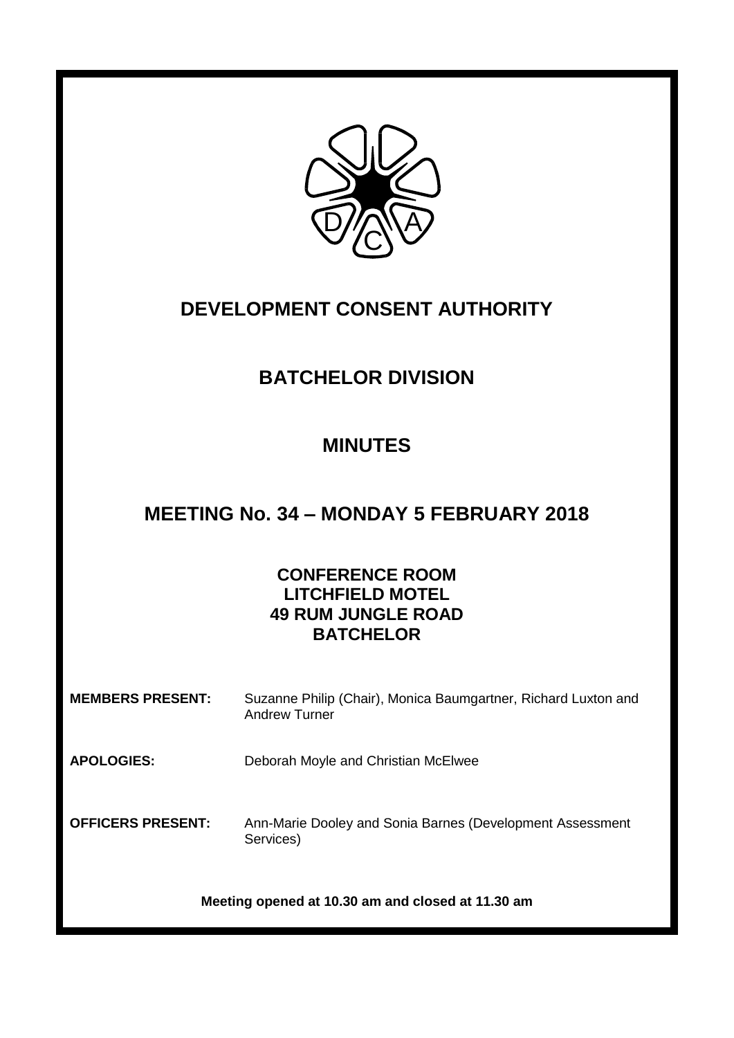

# **DEVELOPMENT CONSENT AUTHORITY**

# **BATCHELOR DIVISION**

# **MINUTES**

## **MEETING No. 34 – MONDAY 5 FEBRUARY 2018**

### **CONFERENCE ROOM LITCHFIELD MOTEL 49 RUM JUNGLE ROAD BATCHELOR**

| <b>MEMBERS PRESENT:</b>  | Suzanne Philip (Chair), Monica Baumgartner, Richard Luxton and<br>Andrew Turner |
|--------------------------|---------------------------------------------------------------------------------|
| <b>APOLOGIES:</b>        | Deborah Moyle and Christian McElwee                                             |
| <b>OFFICERS PRESENT:</b> | Ann-Marie Dooley and Sonia Barnes (Development Assessment<br>Services)          |

**Meeting opened at 10.30 am and closed at 11.30 am**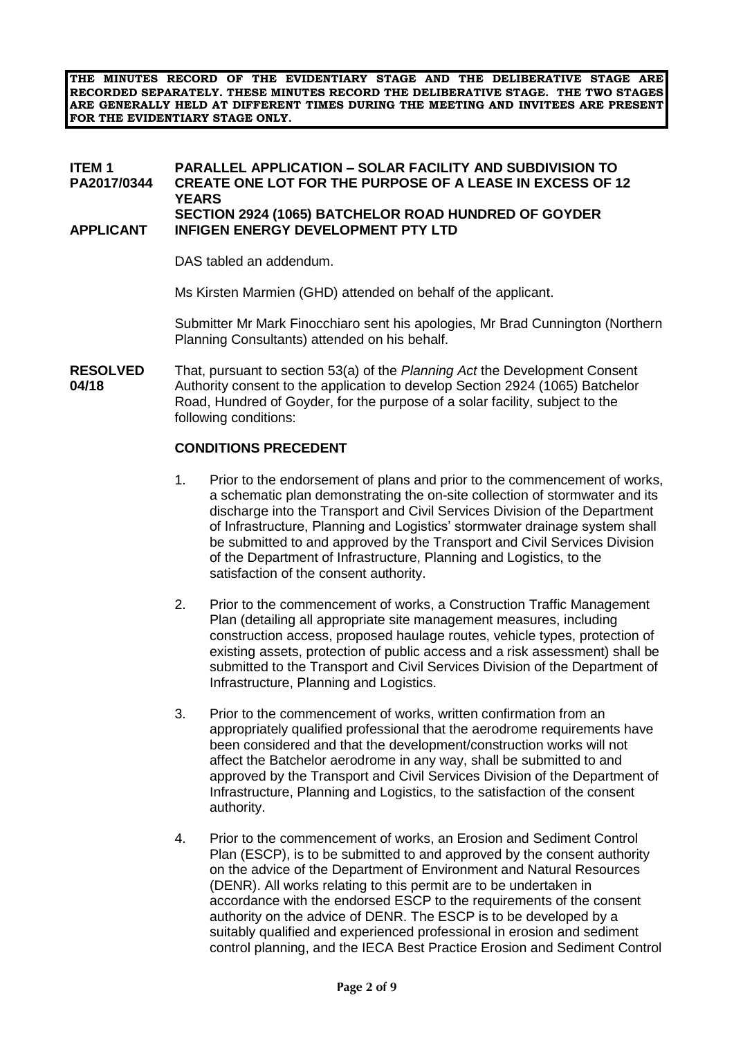**THE MINUTES RECORD OF THE EVIDENTIARY STAGE AND THE DELIBERATIVE STAGE ARE RECORDED SEPARATELY. THESE MINUTES RECORD THE DELIBERATIVE STAGE. THE TWO STAGES ARE GENERALLY HELD AT DIFFERENT TIMES DURING THE MEETING AND INVITEES ARE PRESENT FOR THE EVIDENTIARY STAGE ONLY.**

#### **ITEM 1 PARALLEL APPLICATION – SOLAR FACILITY AND SUBDIVISION TO CREATE ONE LOT FOR THE PURPOSE OF A LEASE IN EXCESS OF 12 YEARS SECTION 2924 (1065) BATCHELOR ROAD HUNDRED OF GOYDER APPLICANT INFIGEN ENERGY DEVELOPMENT PTY LTD**

DAS tabled an addendum.

Ms Kirsten Marmien (GHD) attended on behalf of the applicant.

Submitter Mr Mark Finocchiaro sent his apologies, Mr Brad Cunnington (Northern Planning Consultants) attended on his behalf.

**RESOLVED** That, pursuant to section 53(a) of the *Planning Act* the Development Consent **04/18** Authority consent to the application to develop Section 2924 (1065) Batchelor Road, Hundred of Goyder, for the purpose of a solar facility, subject to the following conditions:

#### **CONDITIONS PRECEDENT**

- 1. Prior to the endorsement of plans and prior to the commencement of works, a schematic plan demonstrating the on-site collection of stormwater and its discharge into the Transport and Civil Services Division of the Department of Infrastructure, Planning and Logistics' stormwater drainage system shall be submitted to and approved by the Transport and Civil Services Division of the Department of Infrastructure, Planning and Logistics, to the satisfaction of the consent authority.
- 2. Prior to the commencement of works, a Construction Traffic Management Plan (detailing all appropriate site management measures, including construction access, proposed haulage routes, vehicle types, protection of existing assets, protection of public access and a risk assessment) shall be submitted to the Transport and Civil Services Division of the Department of Infrastructure, Planning and Logistics.
- 3. Prior to the commencement of works, written confirmation from an appropriately qualified professional that the aerodrome requirements have been considered and that the development/construction works will not affect the Batchelor aerodrome in any way, shall be submitted to and approved by the Transport and Civil Services Division of the Department of Infrastructure, Planning and Logistics, to the satisfaction of the consent authority.
- 4. Prior to the commencement of works, an Erosion and Sediment Control Plan (ESCP), is to be submitted to and approved by the consent authority on the advice of the Department of Environment and Natural Resources (DENR). All works relating to this permit are to be undertaken in accordance with the endorsed ESCP to the requirements of the consent authority on the advice of DENR. The ESCP is to be developed by a suitably qualified and experienced professional in erosion and sediment control planning, and the IECA Best Practice Erosion and Sediment Control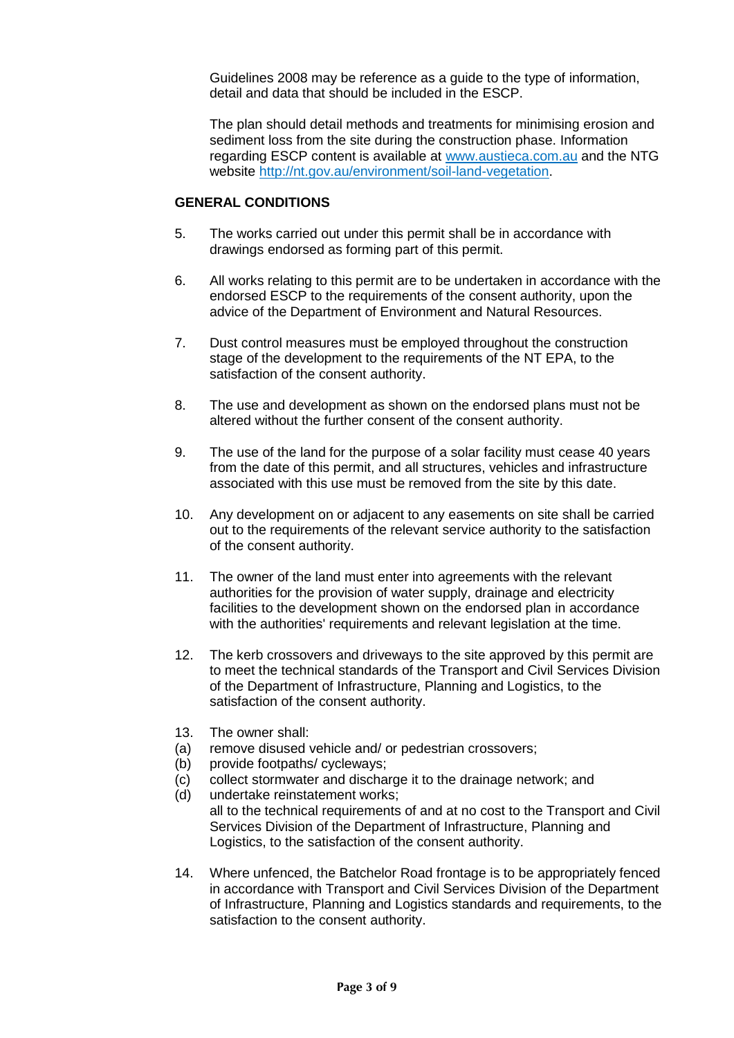Guidelines 2008 may be reference as a guide to the type of information, detail and data that should be included in the ESCP.

The plan should detail methods and treatments for minimising erosion and sediment loss from the site during the construction phase. Information regarding ESCP content is available at [www.austieca.com.au](http://www.austieca.com.au/) and the NTG website [http://nt.gov.au/environment/soil-land-vegetation.](http://nt.gov.au/environment/soil-land-vegetation)

#### **GENERAL CONDITIONS**

- 5. The works carried out under this permit shall be in accordance with drawings endorsed as forming part of this permit.
- 6. All works relating to this permit are to be undertaken in accordance with the endorsed ESCP to the requirements of the consent authority, upon the advice of the Department of Environment and Natural Resources.
- 7. Dust control measures must be employed throughout the construction stage of the development to the requirements of the NT EPA, to the satisfaction of the consent authority.
- 8. The use and development as shown on the endorsed plans must not be altered without the further consent of the consent authority.
- 9. The use of the land for the purpose of a solar facility must cease 40 years from the date of this permit, and all structures, vehicles and infrastructure associated with this use must be removed from the site by this date.
- 10. Any development on or adjacent to any easements on site shall be carried out to the requirements of the relevant service authority to the satisfaction of the consent authority.
- 11. The owner of the land must enter into agreements with the relevant authorities for the provision of water supply, drainage and electricity facilities to the development shown on the endorsed plan in accordance with the authorities' requirements and relevant legislation at the time.
- 12. The kerb crossovers and driveways to the site approved by this permit are to meet the technical standards of the Transport and Civil Services Division of the Department of Infrastructure, Planning and Logistics, to the satisfaction of the consent authority.
- 13. The owner shall:
- (a) remove disused vehicle and/ or pedestrian crossovers;
- (b) provide footpaths/ cycleways;
- (c) collect stormwater and discharge it to the drainage network; and
- (d) undertake reinstatement works; all to the technical requirements of and at no cost to the Transport and Civil Services Division of the Department of Infrastructure, Planning and Logistics, to the satisfaction of the consent authority.
- 14. Where unfenced, the Batchelor Road frontage is to be appropriately fenced in accordance with Transport and Civil Services Division of the Department of Infrastructure, Planning and Logistics standards and requirements, to the satisfaction to the consent authority.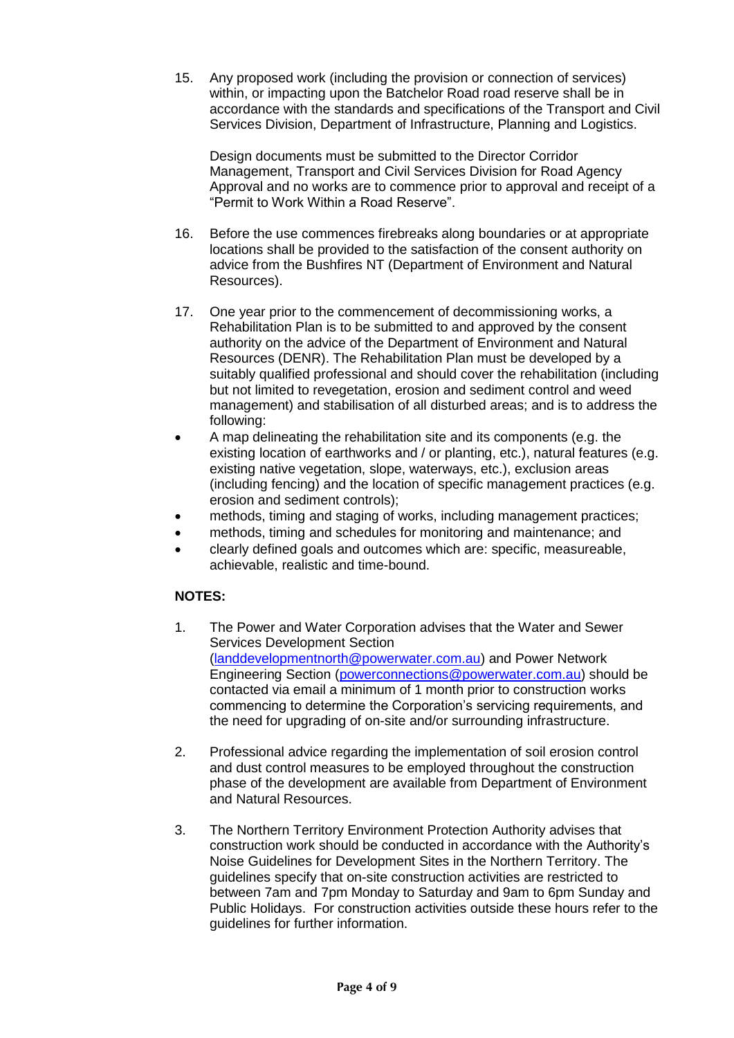15. Any proposed work (including the provision or connection of services) within, or impacting upon the Batchelor Road road reserve shall be in accordance with the standards and specifications of the Transport and Civil Services Division, Department of Infrastructure, Planning and Logistics.

Design documents must be submitted to the Director Corridor Management, Transport and Civil Services Division for Road Agency Approval and no works are to commence prior to approval and receipt of a "Permit to Work Within a Road Reserve".

- 16. Before the use commences firebreaks along boundaries or at appropriate locations shall be provided to the satisfaction of the consent authority on advice from the Bushfires NT (Department of Environment and Natural Resources).
- 17. One year prior to the commencement of decommissioning works, a Rehabilitation Plan is to be submitted to and approved by the consent authority on the advice of the Department of Environment and Natural Resources (DENR). The Rehabilitation Plan must be developed by a suitably qualified professional and should cover the rehabilitation (including but not limited to revegetation, erosion and sediment control and weed management) and stabilisation of all disturbed areas; and is to address the following:
- A map delineating the rehabilitation site and its components (e.g. the existing location of earthworks and / or planting, etc.), natural features (e.g. existing native vegetation, slope, waterways, etc.), exclusion areas (including fencing) and the location of specific management practices (e.g. erosion and sediment controls);
- methods, timing and staging of works, including management practices;
- methods, timing and schedules for monitoring and maintenance; and
- clearly defined goals and outcomes which are: specific, measureable, achievable, realistic and time-bound.

### **NOTES:**

- 1. The Power and Water Corporation advises that the Water and Sewer Services Development Section [\(landdevelopmentnorth@powerwater.com.au\)](mailto:landdevelopmentnorth@powerwater.com.au) and Power Network Engineering Section [\(powerconnections@powerwater.com.au\)](mailto:powerconnections@powerwater.com.au) should be contacted via email a minimum of 1 month prior to construction works commencing to determine the Corporation's servicing requirements, and the need for upgrading of on-site and/or surrounding infrastructure.
- 2. Professional advice regarding the implementation of soil erosion control and dust control measures to be employed throughout the construction phase of the development are available from Department of Environment and Natural Resources.
- 3. The Northern Territory Environment Protection Authority advises that construction work should be conducted in accordance with the Authority's Noise Guidelines for Development Sites in the Northern Territory. The guidelines specify that on-site construction activities are restricted to between 7am and 7pm Monday to Saturday and 9am to 6pm Sunday and Public Holidays. For construction activities outside these hours refer to the guidelines for further information.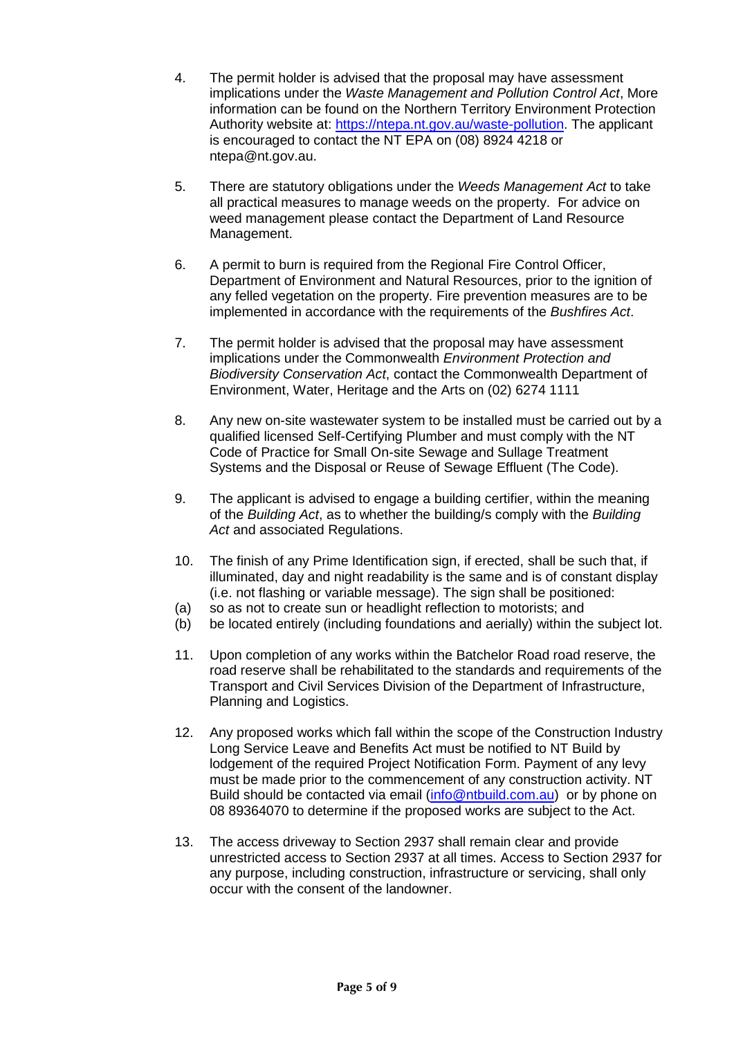- 4. The permit holder is advised that the proposal may have assessment implications under the *Waste Management and Pollution Control Act*, More information can be found on the Northern Territory Environment Protection Authority website at: [https://ntepa.nt.gov.au/waste-pollution.](https://ntepa.nt.gov.au/waste-pollution) The applicant is encouraged to contact the NT EPA on (08) 8924 4218 or ntepa@nt.gov.au.
- 5. There are statutory obligations under the *Weeds Management Act* to take all practical measures to manage weeds on the property. For advice on weed management please contact the Department of Land Resource Management.
- 6. A permit to burn is required from the Regional Fire Control Officer, Department of Environment and Natural Resources, prior to the ignition of any felled vegetation on the property. Fire prevention measures are to be implemented in accordance with the requirements of the *Bushfires Act*.
- 7. The permit holder is advised that the proposal may have assessment implications under the Commonwealth *Environment Protection and Biodiversity Conservation Act*, contact the Commonwealth Department of Environment, Water, Heritage and the Arts on (02) 6274 1111
- 8. Any new on-site wastewater system to be installed must be carried out by a qualified licensed Self-Certifying Plumber and must comply with the NT Code of Practice for Small On-site Sewage and Sullage Treatment Systems and the Disposal or Reuse of Sewage Effluent (The Code).
- 9. The applicant is advised to engage a building certifier, within the meaning of the *Building Act*, as to whether the building/s comply with the *Building Act* and associated Regulations.
- 10. The finish of any Prime Identification sign, if erected, shall be such that, if illuminated, day and night readability is the same and is of constant display (i.e. not flashing or variable message). The sign shall be positioned:
- (a) so as not to create sun or headlight reflection to motorists; and
- (b) be located entirely (including foundations and aerially) within the subject lot.
- 11. Upon completion of any works within the Batchelor Road road reserve, the road reserve shall be rehabilitated to the standards and requirements of the Transport and Civil Services Division of the Department of Infrastructure, Planning and Logistics.
- 12. Any proposed works which fall within the scope of the Construction Industry Long Service Leave and Benefits Act must be notified to NT Build by lodgement of the required Project Notification Form. Payment of any levy must be made prior to the commencement of any construction activity. NT Build should be contacted via email [\(info@ntbuild.com.au\)](mailto:info@ntbuild.com.au) or by phone on 08 89364070 to determine if the proposed works are subject to the Act.
- 13. The access driveway to Section 2937 shall remain clear and provide unrestricted access to Section 2937 at all times. Access to Section 2937 for any purpose, including construction, infrastructure or servicing, shall only occur with the consent of the landowner.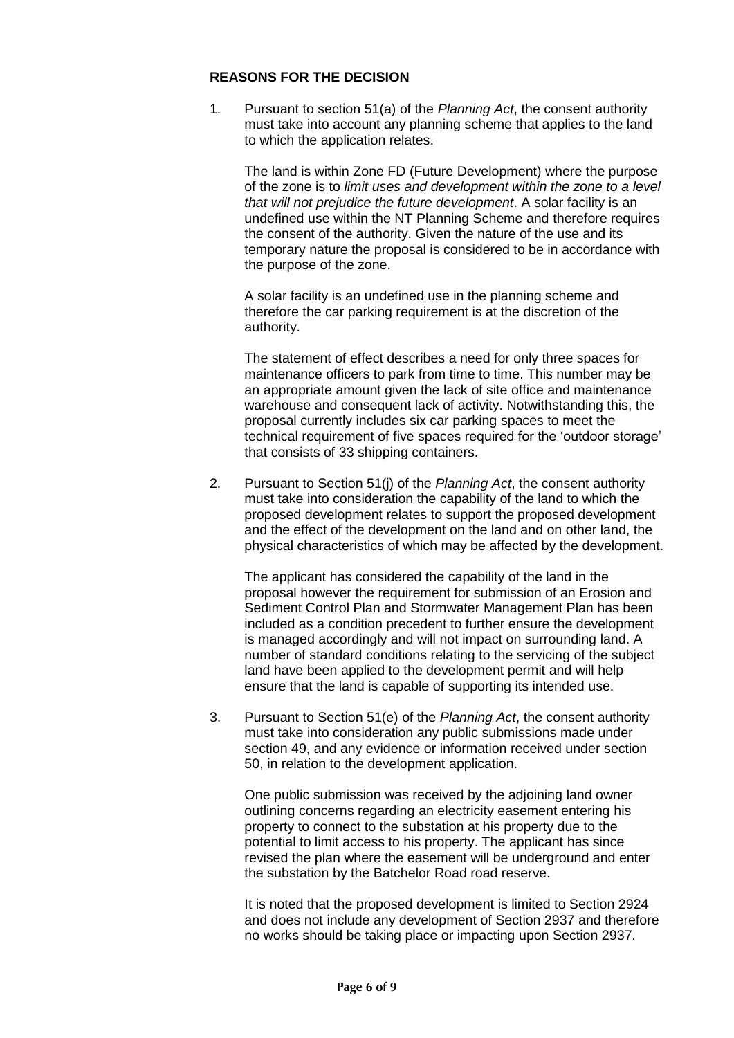#### **REASONS FOR THE DECISION**

1. Pursuant to section 51(a) of the *Planning Act*, the consent authority must take into account any planning scheme that applies to the land to which the application relates.

The land is within Zone FD (Future Development) where the purpose of the zone is to *limit uses and development within the zone to a level that will not prejudice the future development*. A solar facility is an undefined use within the NT Planning Scheme and therefore requires the consent of the authority. Given the nature of the use and its temporary nature the proposal is considered to be in accordance with the purpose of the zone.

A solar facility is an undefined use in the planning scheme and therefore the car parking requirement is at the discretion of the authority.

The statement of effect describes a need for only three spaces for maintenance officers to park from time to time. This number may be an appropriate amount given the lack of site office and maintenance warehouse and consequent lack of activity. Notwithstanding this, the proposal currently includes six car parking spaces to meet the technical requirement of five spaces required for the 'outdoor storage' that consists of 33 shipping containers.

2. Pursuant to Section 51(j) of the *Planning Act*, the consent authority must take into consideration the capability of the land to which the proposed development relates to support the proposed development and the effect of the development on the land and on other land, the physical characteristics of which may be affected by the development.

The applicant has considered the capability of the land in the proposal however the requirement for submission of an Erosion and Sediment Control Plan and Stormwater Management Plan has been included as a condition precedent to further ensure the development is managed accordingly and will not impact on surrounding land. A number of standard conditions relating to the servicing of the subject land have been applied to the development permit and will help ensure that the land is capable of supporting its intended use.

3. Pursuant to Section 51(e) of the *Planning Act*, the consent authority must take into consideration any public submissions made under section 49, and any evidence or information received under section 50, in relation to the development application.

One public submission was received by the adjoining land owner outlining concerns regarding an electricity easement entering his property to connect to the substation at his property due to the potential to limit access to his property. The applicant has since revised the plan where the easement will be underground and enter the substation by the Batchelor Road road reserve.

It is noted that the proposed development is limited to Section 2924 and does not include any development of Section 2937 and therefore no works should be taking place or impacting upon Section 2937.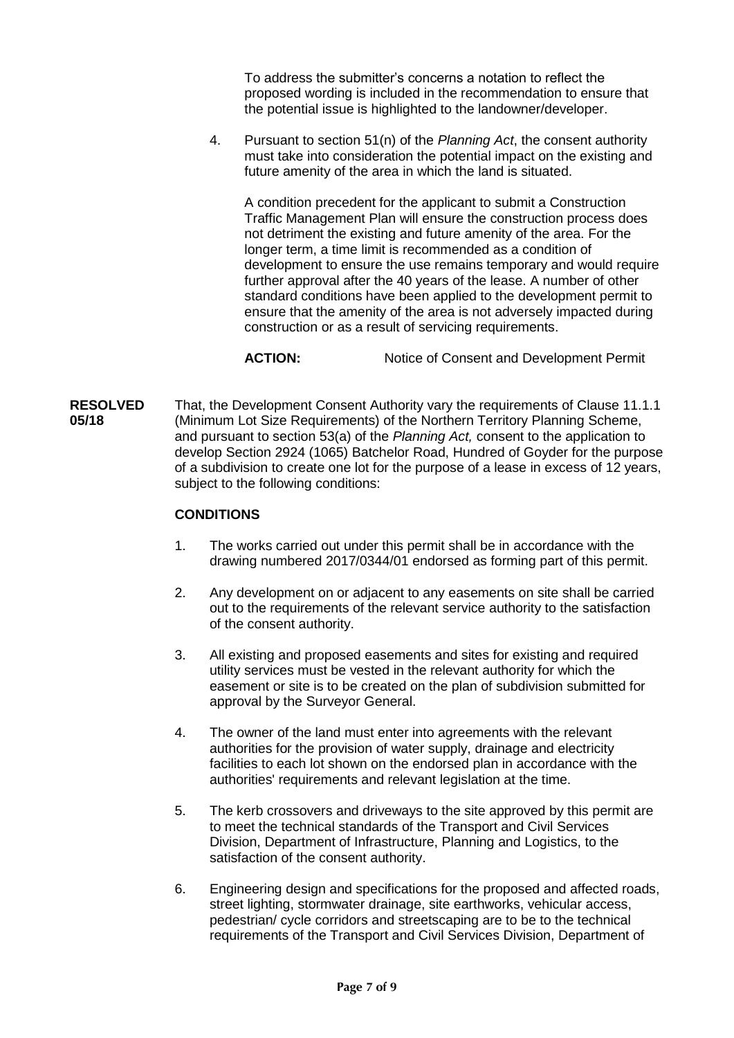To address the submitter's concerns a notation to reflect the proposed wording is included in the recommendation to ensure that the potential issue is highlighted to the landowner/developer.

4. Pursuant to section 51(n) of the *Planning Act*, the consent authority must take into consideration the potential impact on the existing and future amenity of the area in which the land is situated.

A condition precedent for the applicant to submit a Construction Traffic Management Plan will ensure the construction process does not detriment the existing and future amenity of the area. For the longer term, a time limit is recommended as a condition of development to ensure the use remains temporary and would require further approval after the 40 years of the lease. A number of other standard conditions have been applied to the development permit to ensure that the amenity of the area is not adversely impacted during construction or as a result of servicing requirements.

**ACTION:** Notice of Consent and Development Permit

**RESOLVED** That, the Development Consent Authority vary the requirements of Clause 11.1.1 **05/18** (Minimum Lot Size Requirements) of the Northern Territory Planning Scheme, and pursuant to section 53(a) of the *Planning Act,* consent to the application to develop Section 2924 (1065) Batchelor Road, Hundred of Goyder for the purpose of a subdivision to create one lot for the purpose of a lease in excess of 12 years, subject to the following conditions:

#### **CONDITIONS**

- 1. The works carried out under this permit shall be in accordance with the drawing numbered 2017/0344/01 endorsed as forming part of this permit.
- 2. Any development on or adjacent to any easements on site shall be carried out to the requirements of the relevant service authority to the satisfaction of the consent authority.
- 3. All existing and proposed easements and sites for existing and required utility services must be vested in the relevant authority for which the easement or site is to be created on the plan of subdivision submitted for approval by the Surveyor General.
- 4. The owner of the land must enter into agreements with the relevant authorities for the provision of water supply, drainage and electricity facilities to each lot shown on the endorsed plan in accordance with the authorities' requirements and relevant legislation at the time.
- 5. The kerb crossovers and driveways to the site approved by this permit are to meet the technical standards of the Transport and Civil Services Division, Department of Infrastructure, Planning and Logistics, to the satisfaction of the consent authority.
- 6. Engineering design and specifications for the proposed and affected roads, street lighting, stormwater drainage, site earthworks, vehicular access, pedestrian/ cycle corridors and streetscaping are to be to the technical requirements of the Transport and Civil Services Division, Department of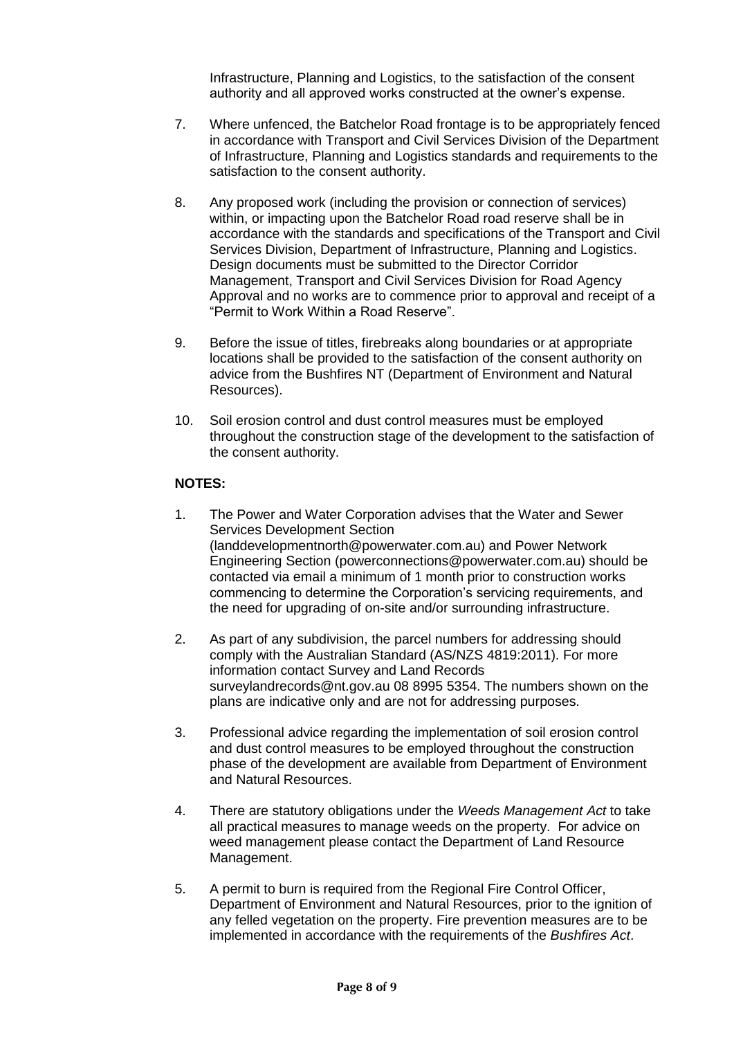Infrastructure, Planning and Logistics, to the satisfaction of the consent authority and all approved works constructed at the owner's expense.

- 7. Where unfenced, the Batchelor Road frontage is to be appropriately fenced in accordance with Transport and Civil Services Division of the Department of Infrastructure, Planning and Logistics standards and requirements to the satisfaction to the consent authority.
- 8. Any proposed work (including the provision or connection of services) within, or impacting upon the Batchelor Road road reserve shall be in accordance with the standards and specifications of the Transport and Civil Services Division, Department of Infrastructure, Planning and Logistics. Design documents must be submitted to the Director Corridor Management, Transport and Civil Services Division for Road Agency Approval and no works are to commence prior to approval and receipt of a "Permit to Work Within a Road Reserve".
- 9. Before the issue of titles, firebreaks along boundaries or at appropriate locations shall be provided to the satisfaction of the consent authority on advice from the Bushfires NT (Department of Environment and Natural Resources).
- 10. Soil erosion control and dust control measures must be employed throughout the construction stage of the development to the satisfaction of the consent authority.

### **NOTES:**

- 1. The Power and Water Corporation advises that the Water and Sewer Services Development Section (landdevelopmentnorth@powerwater.com.au) and Power Network Engineering Section (powerconnections@powerwater.com.au) should be contacted via email a minimum of 1 month prior to construction works commencing to determine the Corporation's servicing requirements, and the need for upgrading of on-site and/or surrounding infrastructure.
- 2. As part of any subdivision, the parcel numbers for addressing should comply with the Australian Standard (AS/NZS 4819:2011). For more information contact Survey and Land Records [surveylandrecords@nt.gov.au](mailto:surveylandrecords@nt.gov.au) 08 8995 5354. The numbers shown on the plans are indicative only and are not for addressing purposes.
- 3. Professional advice regarding the implementation of soil erosion control and dust control measures to be employed throughout the construction phase of the development are available from Department of Environment and Natural Resources.
- 4. There are statutory obligations under the *Weeds Management Act* to take all practical measures to manage weeds on the property. For advice on weed management please contact the Department of Land Resource Management.
- 5. A permit to burn is required from the Regional Fire Control Officer, Department of Environment and Natural Resources, prior to the ignition of any felled vegetation on the property. Fire prevention measures are to be implemented in accordance with the requirements of the *Bushfires Act*.